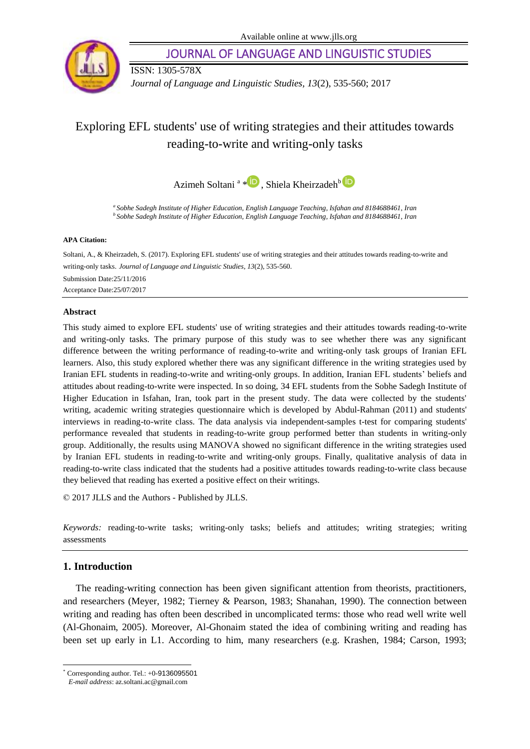

JOURNAL OF LANGUAGE AND LINGUISTIC STUDIES

ISSN: 1305-578X

*Journal of Language and Linguistic Studies, 13*(2), 535-560; 2017

# Exploring EFL students' use of writing strategies and their attitudes towards reading-to-write and writing-only tasks

Azimeh Soltani<sup>a</sup> \* D, Shiela Kheirzadeh<sup>b</sup>

*<sup>a</sup>Sobhe Sadegh Institute of Higher Education, English Language Teaching, Isfahan and 8184688461, Iran <sup>b</sup>Sobhe Sadegh Institute of Higher Education, English Language Teaching, Isfahan and 8184688461, Iran*

#### **APA Citation:**

Soltani, A., & Kheirzadeh, S. (2017). Exploring EFL students' use of writing strategies and their attitudes towards reading-to-write and writing-only tasks. *Journal of Language and Linguistic Studies*, *13*(2), 535-560. Submission Date:25/11/2016 Acceptance Date:25/07/2017

#### **Abstract**

This study aimed to explore EFL students' use of writing strategies and their attitudes towards reading-to-write and writing-only tasks. The primary purpose of this study was to see whether there was any significant difference between the writing performance of reading-to-write and writing-only task groups of Iranian EFL learners. Also, this study explored whether there was any significant difference in the writing strategies used by Iranian EFL students in reading-to-write and writing-only groups. In addition, Iranian EFL students' beliefs and attitudes about reading-to-write were inspected. In so doing, 34 EFL students from the Sobhe Sadegh Institute of Higher Education in Isfahan, Iran, took part in the present study. The data were collected by the students' writing, academic writing strategies questionnaire which is developed by Abdul-Rahman (2011) and students' interviews in reading-to-write class. The data analysis via independent-samples t-test for comparing students' performance revealed that students in reading-to-write group performed better than students in writing-only group. Additionally, the results using MANOVA showed no significant difference in the writing strategies used by Iranian EFL students in reading-to-write and writing-only groups. Finally, qualitative analysis of data in reading-to-write class indicated that the students had a positive attitudes towards reading-to-write class because they believed that reading has exerted a positive effect on their writings.

© 2017 JLLS and the Authors - Published by JLLS.

*Keywords:* reading-to-write tasks; writing-only tasks; beliefs and attitudes; writing strategies; writing assessments

## **1. Introduction**

l

The reading-writing connection has been given significant attention from theorists, practitioners, and researchers (Meyer, 1982; Tierney & Pearson, 1983; Shanahan, 1990). The connection between writing and reading has often been described in uncomplicated terms: those who read well write well (Al-Ghonaim, 2005). Moreover, Al-Ghonaim stated the idea of combining writing and reading has been set up early in L1. According to him, many researchers (e.g. Krashen, 1984; Carson, 1993;

Corresponding author. Tel.: +0-9136095501

*E-mail address*[: az.soltani.ac@gmail.c](mailto:az.soltani.ac@gmail)om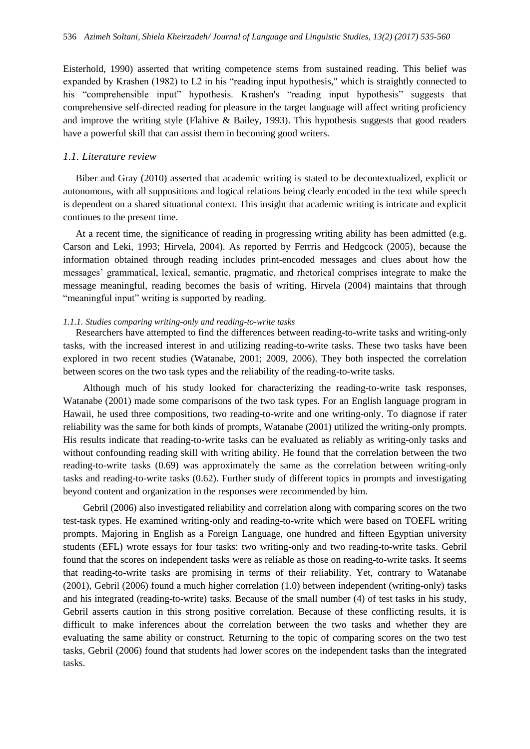Eisterhold, 1990) asserted that writing competence stems from sustained reading. This belief was expanded by Krashen (1982) to L2 in his "reading input hypothesis," which is straightly connected to his "comprehensible input" hypothesis. Krashen's "reading input hypothesis" suggests that comprehensive self-directed reading for pleasure in the target language will affect writing proficiency and improve the writing style (Flahive & Bailey, 1993). This hypothesis suggests that good readers have a powerful skill that can assist them in becoming good writers.

#### *1.1. Literature review*

Biber and Gray (2010) asserted that academic writing is stated to be decontextualized, explicit or autonomous, with all suppositions and logical relations being clearly encoded in the text while speech is dependent on a shared situational context. This insight that academic writing is intricate and explicit continues to the present time.

At a recent time, the significance of reading in progressing writing ability has been admitted (e.g. Carson and Leki, 1993; Hirvela, 2004). As reported by Ferrris and Hedgcock (2005), because the information obtained through reading includes print-encoded messages and clues about how the messages' grammatical, lexical, semantic, pragmatic, and rhetorical comprises integrate to make the message meaningful, reading becomes the basis of writing. Hirvela (2004) maintains that through "meaningful input" writing is supported by reading.

#### *1.1.1. Studies comparing writing-only and reading-to-write tasks*

Researchers have attempted to find the differences between reading-to-write tasks and writing-only tasks, with the increased interest in and utilizing reading-to-write tasks. These two tasks have been explored in two recent studies (Watanabe, 2001; 2009, 2006). They both inspected the correlation between scores on the two task types and the reliability of the reading-to-write tasks.

 Although much of his study looked for characterizing the reading-to-write task responses, Watanabe (2001) made some comparisons of the two task types. For an English language program in Hawaii, he used three compositions, two reading-to-write and one writing-only. To diagnose if rater reliability was the same for both kinds of prompts, Watanabe (2001) utilized the writing-only prompts. His results indicate that reading-to-write tasks can be evaluated as reliably as writing-only tasks and without confounding reading skill with writing ability. He found that the correlation between the two reading-to-write tasks (0.69) was approximately the same as the correlation between writing-only tasks and reading-to-write tasks (0.62). Further study of different topics in prompts and investigating beyond content and organization in the responses were recommended by him.

 Gebril (2006) also investigated reliability and correlation along with comparing scores on the two test-task types. He examined writing-only and reading-to-write which were based on TOEFL writing prompts. Majoring in English as a Foreign Language, one hundred and fifteen Egyptian university students (EFL) wrote essays for four tasks: two writing-only and two reading-to-write tasks. Gebril found that the scores on independent tasks were as reliable as those on reading-to-write tasks. It seems that reading-to-write tasks are promising in terms of their reliability. Yet, contrary to Watanabe (2001), Gebril (2006) found a much higher correlation (1.0) between independent (writing-only) tasks and his integrated (reading-to-write) tasks. Because of the small number (4) of test tasks in his study, Gebril asserts caution in this strong positive correlation. Because of these conflicting results, it is difficult to make inferences about the correlation between the two tasks and whether they are evaluating the same ability or construct. Returning to the topic of comparing scores on the two test tasks, Gebril (2006) found that students had lower scores on the independent tasks than the integrated tasks.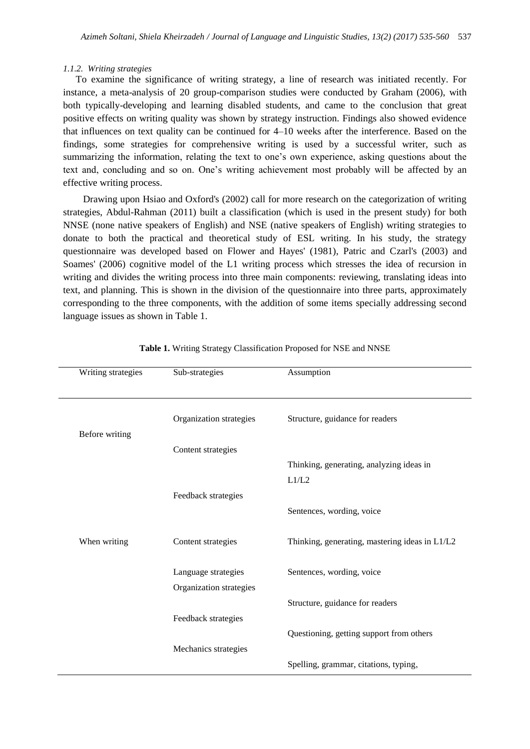#### *1.1.2. Writing strategies*

To examine the significance of writing strategy, a line of research was initiated recently. For instance, a meta-analysis of 20 group-comparison studies were conducted by Graham (2006), with both typically-developing and learning disabled students, and came to the conclusion that great positive effects on writing quality was shown by strategy instruction. Findings also showed evidence that influences on text quality can be continued for 4–10 weeks after the interference. Based on the findings, some strategies for comprehensive writing is used by a successful writer, such as summarizing the information, relating the text to one's own experience, asking questions about the text and, concluding and so on. One's writing achievement most probably will be affected by an effective writing process.

 Drawing upon Hsiao and Oxford's (2002) call for more research on the categorization of writing strategies, Abdul-Rahman (2011) built a classification (which is used in the present study) for both NNSE (none native speakers of English) and NSE (native speakers of English) writing strategies to donate to both the practical and theoretical study of ESL writing. In his study, the strategy questionnaire was developed based on Flower and Hayes' (1981), Patric and Czarl's (2003) and Soames' (2006) cognitive model of the L1 writing process which stresses the idea of recursion in writing and divides the writing process into three main components: reviewing, translating ideas into text, and planning. This is shown in the division of the questionnaire into three parts, approximately corresponding to the three components, with the addition of some items specially addressing second language issues as shown in Table 1.

| Writing strategies | Sub-strategies          | Assumption                                     |
|--------------------|-------------------------|------------------------------------------------|
|                    |                         |                                                |
|                    |                         |                                                |
|                    | Organization strategies | Structure, guidance for readers                |
| Before writing     |                         |                                                |
|                    | Content strategies      |                                                |
|                    |                         | Thinking, generating, analyzing ideas in       |
|                    |                         | L1/L2                                          |
|                    | Feedback strategies     |                                                |
|                    |                         | Sentences, wording, voice                      |
|                    |                         |                                                |
| When writing       | Content strategies      | Thinking, generating, mastering ideas in L1/L2 |
|                    |                         |                                                |
|                    | Language strategies     | Sentences, wording, voice                      |
|                    | Organization strategies |                                                |
|                    |                         | Structure, guidance for readers                |
|                    | Feedback strategies     |                                                |
|                    |                         | Questioning, getting support from others       |
|                    | Mechanics strategies    |                                                |
|                    |                         | Spelling, grammar, citations, typing,          |
|                    |                         |                                                |

**Table 1.** Writing Strategy Classification Proposed for NSE and NNSE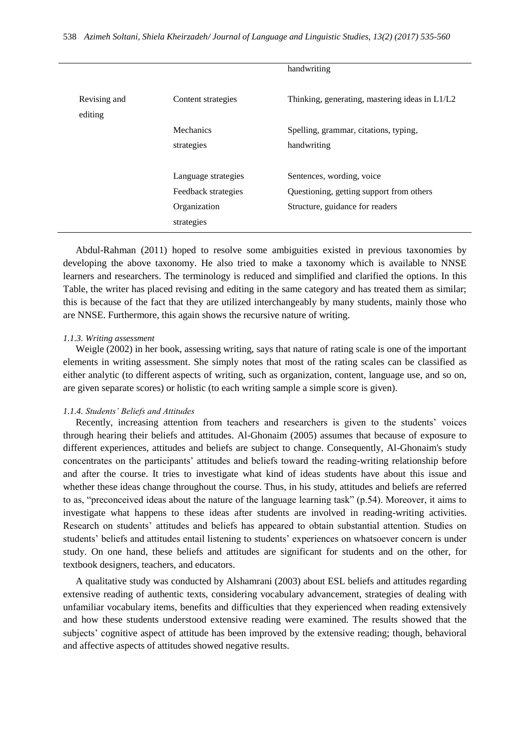|                         |                     | handwriting                                    |
|-------------------------|---------------------|------------------------------------------------|
| Revising and<br>editing | Content strategies  | Thinking, generating, mastering ideas in L1/L2 |
|                         | Mechanics           | Spelling, grammar, citations, typing,          |
|                         | strategies          | handwriting                                    |
|                         |                     |                                                |
|                         | Language strategies | Sentences, wording, voice                      |
|                         | Feedback strategies | Questioning, getting support from others       |
|                         | Organization        | Structure, guidance for readers                |
|                         | strategies          |                                                |

Abdul-Rahman (2011) hoped to resolve some ambiguities existed in previous taxonomies by developing the above taxonomy. He also tried to make a taxonomy which is available to NNSE learners and researchers. The terminology is reduced and simplified and clarified the options. In this Table, the writer has placed revising and editing in the same category and has treated them as similar; this is because of the fact that they are utilized interchangeably by many students, mainly those who are NNSE. Furthermore, this again shows the recursive nature of writing.

#### *1.1.3. Writing assessment*

Weigle (2002) in her book, assessing writing, says that nature of rating scale is one of the important elements in writing assessment. She simply notes that most of the rating scales can be classified as either analytic (to different aspects of writing, such as organization, content, language use, and so on, are given separate scores) or holistic (to each writing sample a simple score is given).

#### *1.1.4. Students' Beliefs and Attitudes*

Recently, increasing attention from teachers and researchers is given to the students' voices through hearing their beliefs and attitudes. Al-Ghonaim (2005) assumes that because of exposure to different experiences, attitudes and beliefs are subject to change. Consequently, Al-Ghonaim's study concentrates on the participants' attitudes and beliefs toward the reading-writing relationship before and after the course. It tries to investigate what kind of ideas students have about this issue and whether these ideas change throughout the course. Thus, in his study, attitudes and beliefs are referred to as, "preconceived ideas about the nature of the language learning task" (p.54). Moreover, it aims to investigate what happens to these ideas after students are involved in reading-writing activities. Research on students' attitudes and beliefs has appeared to obtain substantial attention. Studies on students' beliefs and attitudes entail listening to students' experiences on whatsoever concern is under study. On one hand, these beliefs and attitudes are significant for students and on the other, for textbook designers, teachers, and educators.

A qualitative study was conducted by Alshamrani (2003) about ESL beliefs and attitudes regarding extensive reading of authentic texts, considering vocabulary advancement, strategies of dealing with unfamiliar vocabulary items, benefits and difficulties that they experienced when reading extensively and how these students understood extensive reading were examined. The results showed that the subjects' cognitive aspect of attitude has been improved by the extensive reading; though, behavioral and affective aspects of attitudes showed negative results.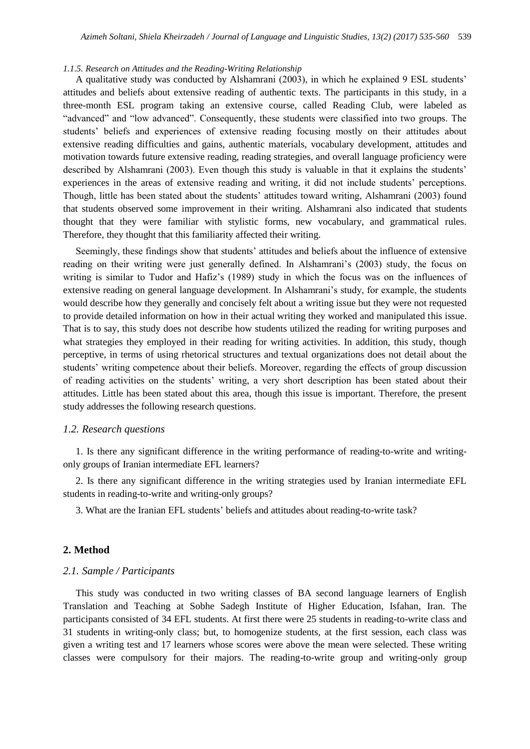#### *1.1.5. Research on Attitudes and the Reading-Writing Relationship*

A qualitative study was conducted by Alshamrani (2003), in which he explained 9 ESL students' attitudes and beliefs about extensive reading of authentic texts. The participants in this study, in a three-month ESL program taking an extensive course, called Reading Club, were labeled as "advanced" and "low advanced". Consequently, these students were classified into two groups. The students' beliefs and experiences of extensive reading focusing mostly on their attitudes about extensive reading difficulties and gains, authentic materials, vocabulary development, attitudes and motivation towards future extensive reading, reading strategies, and overall language proficiency were described by Alshamrani (2003). Even though this study is valuable in that it explains the students' experiences in the areas of extensive reading and writing, it did not include students' perceptions. Though, little has been stated about the students' attitudes toward writing, Alshamrani (2003) found that students observed some improvement in their writing. Alshamrani also indicated that students thought that they were familiar with stylistic forms, new vocabulary, and grammatical rules. Therefore, they thought that this familiarity affected their writing.

Seemingly, these findings show that students' attitudes and beliefs about the influence of extensive reading on their writing were just generally defined. In Alshamrani's (2003) study, the focus on writing is similar to Tudor and Hafiz's (1989) study in which the focus was on the influences of extensive reading on general language development. In Alshamrani's study, for example, the students would describe how they generally and concisely felt about a writing issue but they were not requested to provide detailed information on how in their actual writing they worked and manipulated this issue. That is to say, this study does not describe how students utilized the reading for writing purposes and what strategies they employed in their reading for writing activities. In addition, this study, though perceptive, in terms of using rhetorical structures and textual organizations does not detail about the students' writing competence about their beliefs. Moreover, regarding the effects of group discussion of reading activities on the students' writing, a very short description has been stated about their attitudes. Little has been stated about this area, though this issue is important. Therefore, the present study addresses the following research questions.

#### *1.2. Research questions*

1. Is there any significant difference in the writing performance of reading-to-write and writingonly groups of Iranian intermediate EFL learners?

2. Is there any significant difference in the writing strategies used by Iranian intermediate EFL students in reading-to-write and writing-only groups?

3. What are the Iranian EFL students' beliefs and attitudes about reading-to-write task?

#### **2. Method**

#### *2.1. Sample / Participants*

This study was conducted in two writing classes of BA second language learners of English Translation and Teaching at Sobhe Sadegh Institute of Higher Education, Isfahan, Iran. The participants consisted of 34 EFL students. At first there were 25 students in reading-to-write class and 31 students in writing-only class; but, to homogenize students, at the first session, each class was given a writing test and 17 learners whose scores were above the mean were selected. These writing classes were compulsory for their majors. The reading-to-write group and writing-only group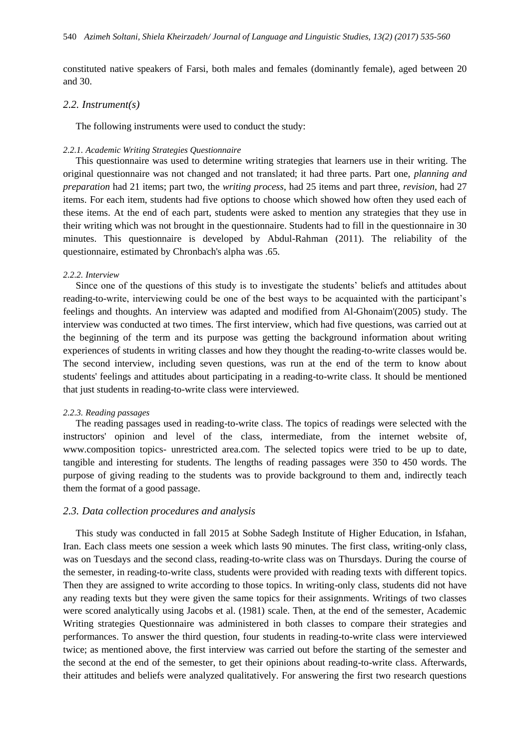constituted native speakers of Farsi, both males and females (dominantly female), aged between 20 and 30.

#### *2.2. Instrument(s)*

The following instruments were used to conduct the study:

#### *2.2.1. Academic Writing Strategies Questionnaire*

This questionnaire was used to determine writing strategies that learners use in their writing. The original questionnaire was not changed and not translated; it had three parts. Part one, *planning and preparation* had 21 items; part two, the *writing process*, had 25 items and part three, *revision*, had 27 items. For each item, students had five options to choose which showed how often they used each of these items. At the end of each part, students were asked to mention any strategies that they use in their writing which was not brought in the questionnaire. Students had to fill in the questionnaire in 30 minutes. This questionnaire is developed by Abdul-Rahman (2011). The reliability of the questionnaire, estimated by Chronbach's alpha was .65.

#### *2.2.2. Interview*

Since one of the questions of this study is to investigate the students' beliefs and attitudes about reading-to-write, interviewing could be one of the best ways to be acquainted with the participant's feelings and thoughts. An interview was adapted and modified from Al-Ghonaim'(2005) study. The interview was conducted at two times. The first interview, which had five questions, was carried out at the beginning of the term and its purpose was getting the background information about writing experiences of students in writing classes and how they thought the reading-to-write classes would be. The second interview, including seven questions, was run at the end of the term to know about students' feelings and attitudes about participating in a reading-to-write class. It should be mentioned that just students in reading-to-write class were interviewed.

#### *2.2.3. Reading passages*

The reading passages used in reading-to-write class. The topics of readings were selected with the instructors' opinion and level of the class, intermediate, from the internet website of, www.composition topics- unrestricted area.com. The selected topics were tried to be up to date, tangible and interesting for students. The lengths of reading passages were 350 to 450 words. The purpose of giving reading to the students was to provide background to them and, indirectly teach them the format of a good passage.

#### *2.3. Data collection procedures and analysis*

This study was conducted in fall 2015 at Sobhe Sadegh Institute of Higher Education, in Isfahan, Iran. Each class meets one session a week which lasts 90 minutes. The first class, writing-only class, was on Tuesdays and the second class, reading-to-write class was on Thursdays. During the course of the semester, in reading-to-write class, students were provided with reading texts with different topics. Then they are assigned to write according to those topics. In writing-only class, students did not have any reading texts but they were given the same topics for their assignments. Writings of two classes were scored analytically using Jacobs et al. (1981) scale. Then, at the end of the semester, Academic Writing strategies Questionnaire was administered in both classes to compare their strategies and performances. To answer the third question, four students in reading-to-write class were interviewed twice; as mentioned above, the first interview was carried out before the starting of the semester and the second at the end of the semester, to get their opinions about reading-to-write class. Afterwards, their attitudes and beliefs were analyzed qualitatively. For answering the first two research questions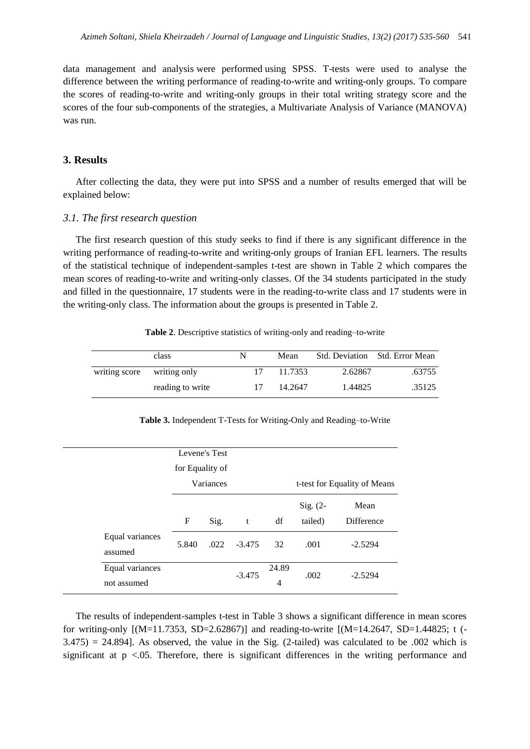data management and analysis were performed using SPSS. T-tests were used to analyse the difference between the writing performance of reading-to-write and writing-only groups. To compare the scores of reading-to-write and writing-only groups in their total writing strategy score and the scores of the four sub-components of the strategies, a Multivariate Analysis of Variance (MANOVA) was run.

#### **3. Results**

After collecting the data, they were put into SPSS and a number of results emerged that will be explained below:

#### *3.1. The first research question*

The first research question of this study seeks to find if there is any significant difference in the writing performance of reading-to-write and writing-only groups of Iranian EFL learners. The results of the statistical technique of independent-samples t-test are shown in Table 2 which compares the mean scores of reading-to-write and writing-only classes. Of the 34 students participated in the study and filled in the questionnaire, 17 students were in the reading-to-write class and 17 students were in the writing-only class. The information about the groups is presented in Table 2.

|               | class            | N  | Mean    |         | Std. Deviation Std. Error Mean |
|---------------|------------------|----|---------|---------|--------------------------------|
| writing score | writing only     |    | 11.7353 | 2.62867 | .63755                         |
|               | reading to write | 17 | 14.2647 | 1.44825 | .35125                         |

**Table 2**. Descriptive statistics of writing-only and reading–to-write

|  |  | Table 3. Independent T-Tests for Writing-Only and Reading-to-Write |
|--|--|--------------------------------------------------------------------|
|  |  |                                                                    |

|                                |                 | Levene's Test |          |            |                       |                              |
|--------------------------------|-----------------|---------------|----------|------------|-----------------------|------------------------------|
|                                | for Equality of | Variances     |          |            |                       | t-test for Equality of Means |
|                                | F               | Sig.          | t        | df         | $Sig. (2-$<br>tailed) | Mean<br>Difference           |
| Equal variances<br>assumed     | 5.840           | .022          | $-3.475$ | 32         | .001                  | $-2.5294$                    |
| Equal variances<br>not assumed |                 |               | $-3.475$ | 24.89<br>4 | .002                  | $-2.5294$                    |

The results of independent-samples t-test in Table 3 shows a significant difference in mean scores for writing-only [(M=11.7353, SD=2.62867)] and reading-to-write [(M=14.2647, SD=1.44825; t (-  $3.475$ ) = 24.894]. As observed, the value in the Sig. (2-tailed) was calculated to be .002 which is significant at  $p \le 0.05$ . Therefore, there is significant differences in the writing performance and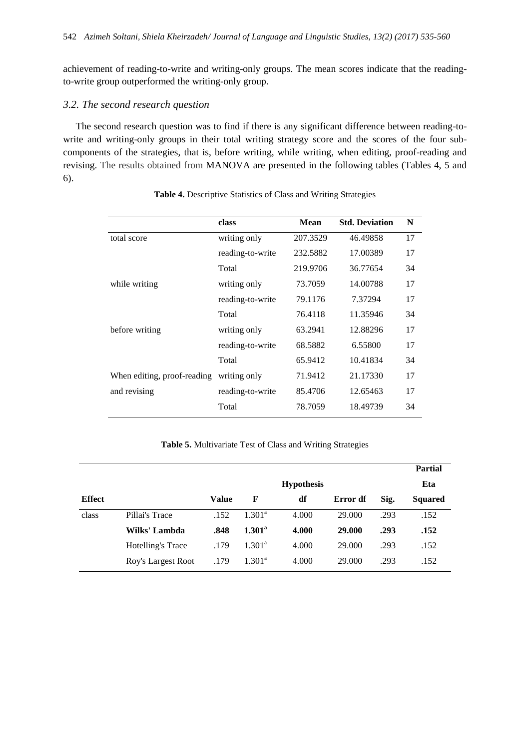achievement of reading-to-write and writing-only groups. The mean scores indicate that the readingto-write group outperformed the writing-only group.

### *3.2. The second research question*

The second research question was to find if there is any significant difference between reading-towrite and writing-only groups in their total writing strategy score and the scores of the four subcomponents of the strategies, that is, before writing, while writing, when editing, proof-reading and revising. The results obtained from MANOVA are presented in the following tables (Tables 4, 5 and 6).

|                             | class            | Mean     | <b>Std. Deviation</b> | N  |
|-----------------------------|------------------|----------|-----------------------|----|
| total score                 | writing only     | 207.3529 | 46.49858              | 17 |
|                             | reading-to-write | 232.5882 | 17.00389              | 17 |
|                             | Total            | 219.9706 | 36.77654              | 34 |
| while writing               | writing only     | 73.7059  | 14.00788              | 17 |
|                             | reading-to-write | 79.1176  | 7.37294               | 17 |
|                             | Total            | 76.4118  | 11.35946              | 34 |
| before writing              | writing only     | 63.2941  | 12.88296              | 17 |
|                             | reading-to-write | 68.5882  | 6.55800               | 17 |
|                             | Total            | 65.9412  | 10.41834              | 34 |
| When editing, proof-reading | writing only     | 71.9412  | 21.17330              | 17 |
| and revising                | reading-to-write | 85.4706  | 12.65463              | 17 |
|                             | Total            | 78.7059  | 18.49739              | 34 |

#### **Table 4.** Descriptive Statistics of Class and Writing Strategies

**Table 5.** Multivariate Test of Class and Writing Strategies

|               |                    |       |                    |                   |          |      | <b>Partial</b> |
|---------------|--------------------|-------|--------------------|-------------------|----------|------|----------------|
|               |                    |       |                    | <b>Hypothesis</b> |          |      | Eta            |
| <b>Effect</b> |                    | Value | F                  | df                | Error df | Sig. | <b>Squared</b> |
| class         | Pillai's Trace     | .152  | 1.301 <sup>a</sup> | 4.000             | 29,000   | .293 | .152           |
|               | Wilks' Lambda      | .848  | $1.301^{\rm a}$    | 4.000             | 29.000   | .293 | .152           |
|               | Hotelling's Trace  | .179  | $1.301^{\rm a}$    | 4.000             | 29,000   | .293 | .152           |
|               | Roy's Largest Root | .179  | $1.301^{\rm a}$    | 4.000             | 29,000   | .293 | .152           |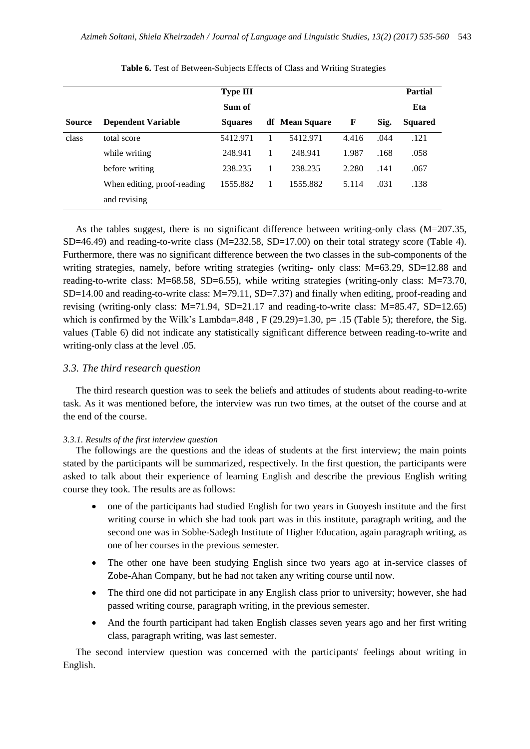|               |                             | <b>Type III</b> |                |       |      | <b>Partial</b> |
|---------------|-----------------------------|-----------------|----------------|-------|------|----------------|
|               |                             | Sum of          |                |       |      | Eta            |
| <b>Source</b> | <b>Dependent Variable</b>   | <b>Squares</b>  | df Mean Square | F     | Sig. | <b>Squared</b> |
| class         | total score                 | 5412.971        | 5412.971       | 4.416 | .044 | .121           |
|               | while writing               | 248.941         | 248.941        | 1.987 | .168 | .058           |
|               | before writing              | 238.235         | 238.235        | 2.280 | .141 | .067           |
|               | When editing, proof-reading | 1555.882        | 1555.882       | 5.114 | .031 | .138           |
|               | and revising                |                 |                |       |      |                |

**Table 6.** Test of Between-Subjects Effects of Class and Writing Strategies

As the tables suggest, there is no significant difference between writing-only class (M=207.35, SD=46.49) and reading-to-write class (M=232.58, SD=17.00) on their total strategy score (Table 4). Furthermore, there was no significant difference between the two classes in the sub-components of the writing strategies, namely, before writing strategies (writing- only class: M=63.29, SD=12.88 and reading-to-write class: M=68.58, SD=6.55), while writing strategies (writing-only class: M=73.70,  $SD=14.00$  and reading-to-write class:  $M=79.11$ ,  $SD=7.37$ ) and finally when editing, proof-reading and revising (writing-only class: M=71.94, SD=21.17 and reading-to-write class: M=85.47, SD=12.65) which is confirmed by the Wilk's Lambda= $.848$ , F (29.29)=1.30, p= .15 (Table 5); therefore, the Sig. values (Table 6) did not indicate any statistically significant difference between reading-to-write and writing-only class at the level .05.

#### *3.3. The third research question*

The third research question was to seek the beliefs and attitudes of students about reading-to-write task. As it was mentioned before, the interview was run two times, at the outset of the course and at the end of the course.

#### *3.3.1. Results of the first interview question*

The followings are the questions and the ideas of students at the first interview; the main points stated by the participants will be summarized, respectively. In the first question, the participants were asked to talk about their experience of learning English and describe the previous English writing course they took. The results are as follows:

- one of the participants had studied English for two years in Guoyesh institute and the first writing course in which she had took part was in this institute, paragraph writing, and the second one was in Sobhe-Sadegh Institute of Higher Education, again paragraph writing, as one of her courses in the previous semester.
- The other one have been studying English since two years ago at in-service classes of Zobe-Ahan Company, but he had not taken any writing course until now.
- The third one did not participate in any English class prior to university; however, she had passed writing course, paragraph writing, in the previous semester.
- And the fourth participant had taken English classes seven years ago and her first writing class, paragraph writing, was last semester.

The second interview question was concerned with the participants' feelings about writing in English.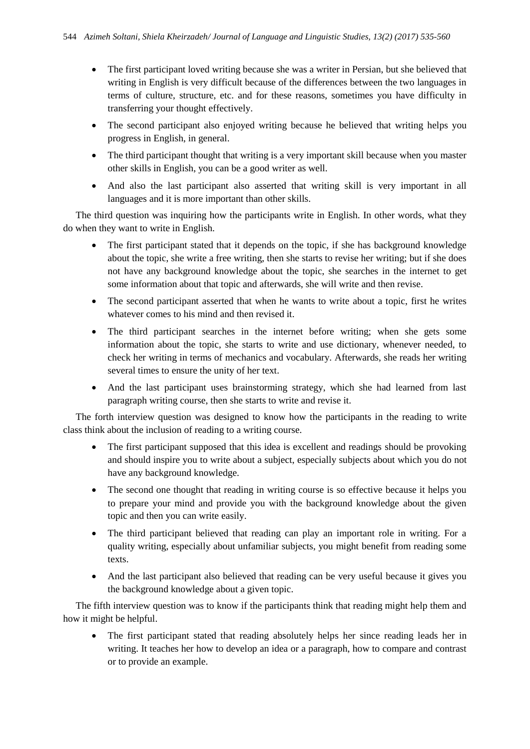- The first participant loved writing because she was a writer in Persian, but she believed that writing in English is very difficult because of the differences between the two languages in terms of culture, structure, etc. and for these reasons, sometimes you have difficulty in transferring your thought effectively.
- The second participant also enjoyed writing because he believed that writing helps you progress in English, in general.
- The third participant thought that writing is a very important skill because when you master other skills in English, you can be a good writer as well.
- And also the last participant also asserted that writing skill is very important in all languages and it is more important than other skills.

The third question was inquiring how the participants write in English. In other words, what they do when they want to write in English.

- The first participant stated that it depends on the topic, if she has background knowledge about the topic, she write a free writing, then she starts to revise her writing; but if she does not have any background knowledge about the topic, she searches in the internet to get some information about that topic and afterwards, she will write and then revise.
- The second participant asserted that when he wants to write about a topic, first he writes whatever comes to his mind and then revised it.
- The third participant searches in the internet before writing; when she gets some information about the topic, she starts to write and use dictionary, whenever needed, to check her writing in terms of mechanics and vocabulary. Afterwards, she reads her writing several times to ensure the unity of her text.
- And the last participant uses brainstorming strategy, which she had learned from last paragraph writing course, then she starts to write and revise it.

The forth interview question was designed to know how the participants in the reading to write class think about the inclusion of reading to a writing course.

- The first participant supposed that this idea is excellent and readings should be provoking and should inspire you to write about a subject, especially subjects about which you do not have any background knowledge.
- The second one thought that reading in writing course is so effective because it helps you to prepare your mind and provide you with the background knowledge about the given topic and then you can write easily.
- The third participant believed that reading can play an important role in writing. For a quality writing, especially about unfamiliar subjects, you might benefit from reading some texts.
- And the last participant also believed that reading can be very useful because it gives you the background knowledge about a given topic.

The fifth interview question was to know if the participants think that reading might help them and how it might be helpful.

• The first participant stated that reading absolutely helps her since reading leads her in writing. It teaches her how to develop an idea or a paragraph, how to compare and contrast or to provide an example.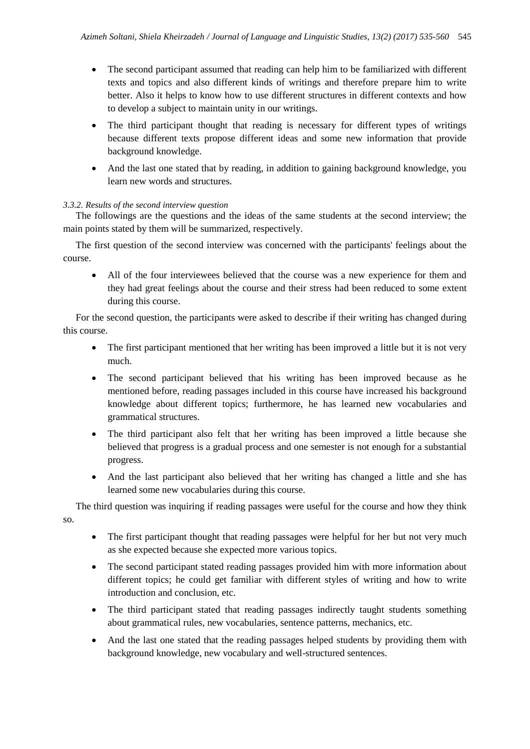- The second participant assumed that reading can help him to be familiarized with different texts and topics and also different kinds of writings and therefore prepare him to write better. Also it helps to know how to use different structures in different contexts and how to develop a subject to maintain unity in our writings.
- The third participant thought that reading is necessary for different types of writings because different texts propose different ideas and some new information that provide background knowledge.
- And the last one stated that by reading, in addition to gaining background knowledge, you learn new words and structures.

#### *3.3.2. Results of the second interview question*

The followings are the questions and the ideas of the same students at the second interview; the main points stated by them will be summarized, respectively.

The first question of the second interview was concerned with the participants' feelings about the course.

 All of the four interviewees believed that the course was a new experience for them and they had great feelings about the course and their stress had been reduced to some extent during this course.

For the second question, the participants were asked to describe if their writing has changed during this course.

- The first participant mentioned that her writing has been improved a little but it is not very much.
- The second participant believed that his writing has been improved because as he mentioned before, reading passages included in this course have increased his background knowledge about different topics; furthermore, he has learned new vocabularies and grammatical structures.
- The third participant also felt that her writing has been improved a little because she believed that progress is a gradual process and one semester is not enough for a substantial progress.
- And the last participant also believed that her writing has changed a little and she has learned some new vocabularies during this course.

The third question was inquiring if reading passages were useful for the course and how they think so.

- The first participant thought that reading passages were helpful for her but not very much as she expected because she expected more various topics.
- The second participant stated reading passages provided him with more information about different topics; he could get familiar with different styles of writing and how to write introduction and conclusion, etc.
- The third participant stated that reading passages indirectly taught students something about grammatical rules, new vocabularies, sentence patterns, mechanics, etc.
- And the last one stated that the reading passages helped students by providing them with background knowledge, new vocabulary and well-structured sentences.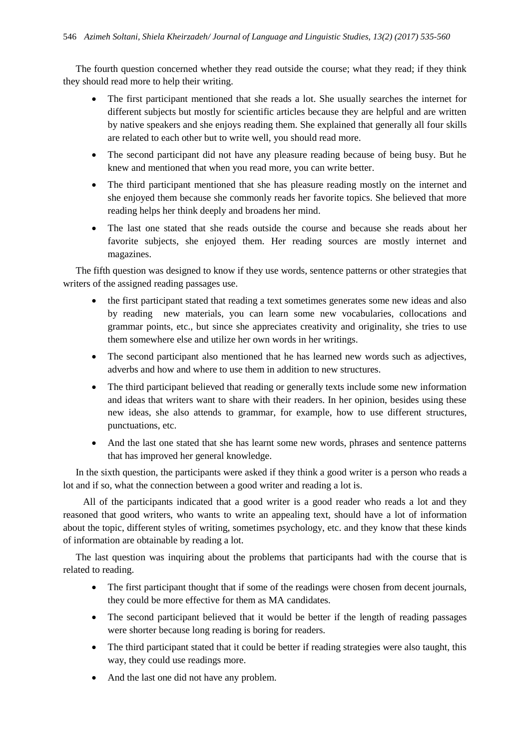The fourth question concerned whether they read outside the course; what they read; if they think they should read more to help their writing.

- The first participant mentioned that she reads a lot. She usually searches the internet for different subjects but mostly for scientific articles because they are helpful and are written by native speakers and she enjoys reading them. She explained that generally all four skills are related to each other but to write well, you should read more.
- The second participant did not have any pleasure reading because of being busy. But he knew and mentioned that when you read more, you can write better.
- The third participant mentioned that she has pleasure reading mostly on the internet and she enjoyed them because she commonly reads her favorite topics. She believed that more reading helps her think deeply and broadens her mind.
- The last one stated that she reads outside the course and because she reads about her favorite subjects, she enjoyed them. Her reading sources are mostly internet and magazines.

The fifth question was designed to know if they use words, sentence patterns or other strategies that writers of the assigned reading passages use.

- the first participant stated that reading a text sometimes generates some new ideas and also by reading new materials, you can learn some new vocabularies, collocations and grammar points, etc., but since she appreciates creativity and originality, she tries to use them somewhere else and utilize her own words in her writings.
- The second participant also mentioned that he has learned new words such as adjectives, adverbs and how and where to use them in addition to new structures.
- The third participant believed that reading or generally texts include some new information and ideas that writers want to share with their readers. In her opinion, besides using these new ideas, she also attends to grammar, for example, how to use different structures, punctuations, etc.
- And the last one stated that she has learnt some new words, phrases and sentence patterns that has improved her general knowledge.

In the sixth question, the participants were asked if they think a good writer is a person who reads a lot and if so, what the connection between a good writer and reading a lot is.

 All of the participants indicated that a good writer is a good reader who reads a lot and they reasoned that good writers, who wants to write an appealing text, should have a lot of information about the topic, different styles of writing, sometimes psychology, etc. and they know that these kinds of information are obtainable by reading a lot.

The last question was inquiring about the problems that participants had with the course that is related to reading.

- The first participant thought that if some of the readings were chosen from decent journals, they could be more effective for them as MA candidates.
- The second participant believed that it would be better if the length of reading passages were shorter because long reading is boring for readers.
- The third participant stated that it could be better if reading strategies were also taught, this way, they could use readings more.
- And the last one did not have any problem.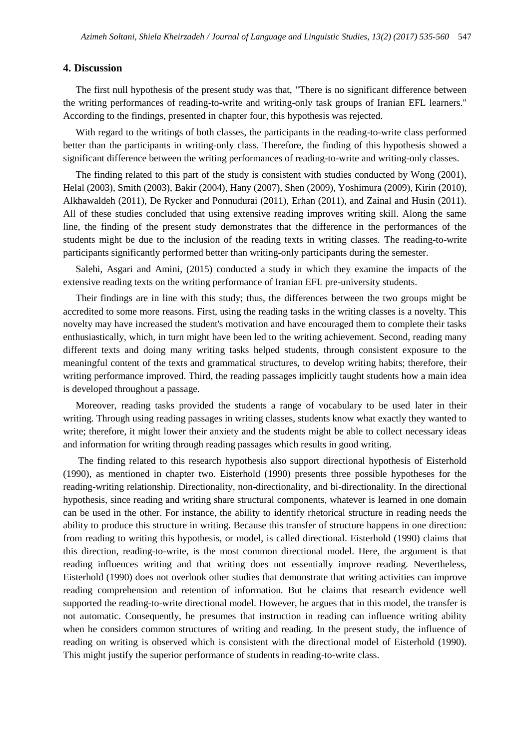#### **4. Discussion**

The first null hypothesis of the present study was that, "There is no significant difference between the writing performances of reading-to-write and writing-only task groups of Iranian EFL learners." According to the findings, presented in chapter four, this hypothesis was rejected.

With regard to the writings of both classes, the participants in the reading-to-write class performed better than the participants in writing-only class. Therefore, the finding of this hypothesis showed a significant difference between the writing performances of reading-to-write and writing-only classes.

The finding related to this part of the study is consistent with studies conducted by Wong (2001), Helal (2003), Smith (2003), Bakir (2004), Hany (2007), Shen (2009), Yoshimura (2009), Kirin (2010), Alkhawaldeh (2011), De Rycker and Ponnudurai (2011), Erhan (2011), and Zainal and Husin (2011). All of these studies concluded that using extensive reading improves writing skill. Along the same line, the finding of the present study demonstrates that the difference in the performances of the students might be due to the inclusion of the reading texts in writing classes. The reading-to-write participants significantly performed better than writing-only participants during the semester.

Salehi, Asgari and Amini, (2015) conducted a study in which they examine the impacts of the extensive reading texts on the writing performance of Iranian EFL pre-university students.

Their findings are in line with this study; thus, the differences between the two groups might be accredited to some more reasons. First, using the reading tasks in the writing classes is a novelty. This novelty may have increased the student's motivation and have encouraged them to complete their tasks enthusiastically, which, in turn might have been led to the writing achievement. Second, reading many different texts and doing many writing tasks helped students, through consistent exposure to the meaningful content of the texts and grammatical structures, to develop writing habits; therefore, their writing performance improved. Third, the reading passages implicitly taught students how a main idea is developed throughout a passage.

Moreover, reading tasks provided the students a range of vocabulary to be used later in their writing. Through using reading passages in writing classes, students know what exactly they wanted to write; therefore, it might lower their anxiety and the students might be able to collect necessary ideas and information for writing through reading passages which results in good writing.

The finding related to this research hypothesis also support directional hypothesis of Eisterhold (1990), as mentioned in chapter two. Eisterhold (1990) presents three possible hypotheses for the reading-writing relationship. Directionality, non-directionality, and bi-directionality. In the directional hypothesis, since reading and writing share structural components, whatever is learned in one domain can be used in the other. For instance, the ability to identify rhetorical structure in reading needs the ability to produce this structure in writing. Because this transfer of structure happens in one direction: from reading to writing this hypothesis, or model, is called directional. Eisterhold (1990) claims that this direction, reading-to-write, is the most common directional model. Here, the argument is that reading influences writing and that writing does not essentially improve reading. Nevertheless, Eisterhold (1990) does not overlook other studies that demonstrate that writing activities can improve reading comprehension and retention of information. But he claims that research evidence well supported the reading-to-write directional model. However, he argues that in this model, the transfer is not automatic. Consequently, he presumes that instruction in reading can influence writing ability when he considers common structures of writing and reading. In the present study, the influence of reading on writing is observed which is consistent with the directional model of Eisterhold (1990). This might justify the superior performance of students in reading-to-write class.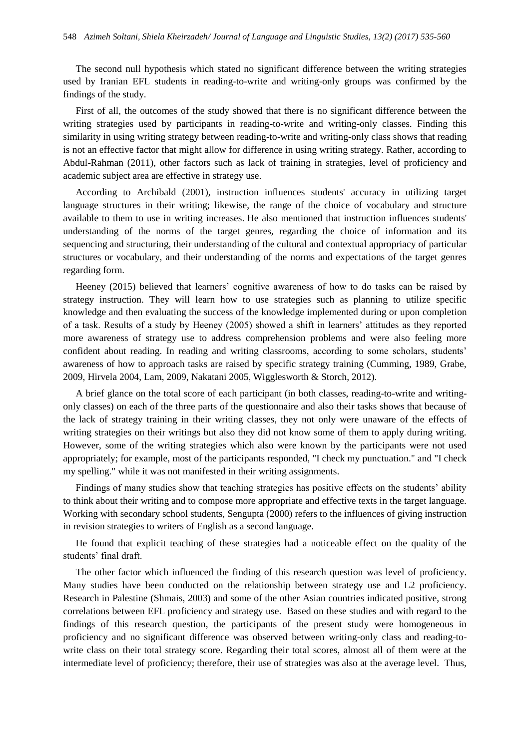The second null hypothesis which stated no significant difference between the writing strategies used by Iranian EFL students in reading-to-write and writing-only groups was confirmed by the findings of the study.

First of all, the outcomes of the study showed that there is no significant difference between the writing strategies used by participants in reading-to-write and writing-only classes. Finding this similarity in using writing strategy between reading-to-write and writing-only class shows that reading is not an effective factor that might allow for difference in using writing strategy. Rather, according to Abdul-Rahman (2011), other factors such as lack of training in strategies, level of proficiency and academic subject area are effective in strategy use.

According to Archibald (2001), instruction influences students' accuracy in utilizing target language structures in their writing; likewise, the range of the choice of vocabulary and structure available to them to use in writing increases. He also mentioned that instruction influences students' understanding of the norms of the target genres, regarding the choice of information and its sequencing and structuring, their understanding of the cultural and contextual appropriacy of particular structures or vocabulary, and their understanding of the norms and expectations of the target genres regarding form.

Heeney (2015) believed that learners' cognitive awareness of how to do tasks can be raised by strategy instruction. They will learn how to use strategies such as planning to utilize specific knowledge and then evaluating the success of the knowledge implemented during or upon completion of a task. Results of a study by Heeney (2005) showed a shift in learners' attitudes as they reported more awareness of strategy use to address comprehension problems and were also feeling more confident about reading. In reading and writing classrooms, according to some scholars, students' awareness of how to approach tasks are raised by specific strategy training (Cumming, 1989, Grabe, 2009, Hirvela 2004, Lam, 2009, Nakatani 2005, Wigglesworth & Storch, 2012).

A brief glance on the total score of each participant (in both classes, reading-to-write and writingonly classes) on each of the three parts of the questionnaire and also their tasks shows that because of the lack of strategy training in their writing classes, they not only were unaware of the effects of writing strategies on their writings but also they did not know some of them to apply during writing. However, some of the writing strategies which also were known by the participants were not used appropriately; for example, most of the participants responded, "I check my punctuation." and "I check my spelling." while it was not manifested in their writing assignments.

Findings of many studies show that teaching strategies has positive effects on the students' ability to think about their writing and to compose more appropriate and effective texts in the target language. Working with secondary school students, [Sengupta](https://www.llas.ac.uk/resources/gpg/2175#ref49) (2000) refers to the influences of giving instruction in revision strategies to writers of English as a second language.

He found that explicit teaching of these strategies had a noticeable effect on the quality of the students' final draft.

The other factor which influenced the finding of this research question was level of proficiency. Many studies have been conducted on the relationship between strategy use and L2 proficiency. Research in Palestine (Shmais, 2003) and some of the other Asian countries indicated positive, strong correlations between EFL proficiency and strategy use. Based on these studies and with regard to the findings of this research question, the participants of the present study were homogeneous in proficiency and no significant difference was observed between writing-only class and reading-towrite class on their total strategy score. Regarding their total scores, almost all of them were at the intermediate level of proficiency; therefore, their use of strategies was also at the average level. Thus,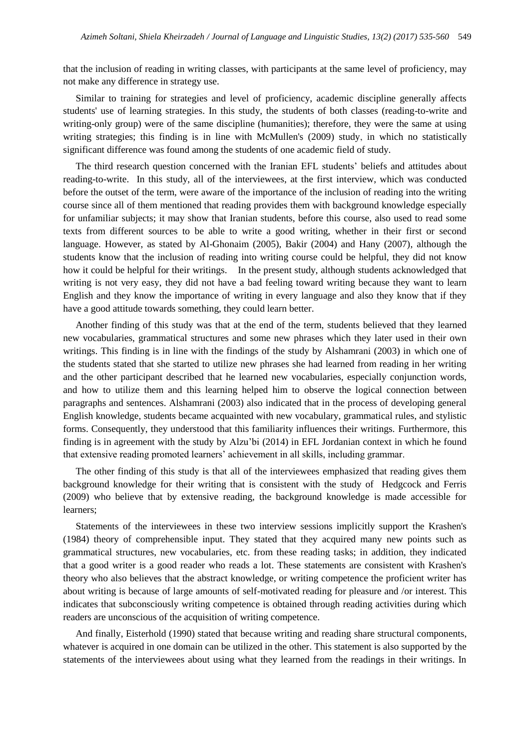that the inclusion of reading in writing classes, with participants at the same level of proficiency, may not make any difference in strategy use.

Similar to training for strategies and level of proficiency, academic discipline generally affects students' use of learning strategies. In this study, the students of both classes (reading-to-write and writing-only group) were of the same discipline (humanities); therefore, they were the same at using writing strategies; this finding is in line with McMullen's (2009) study, in which no statistically significant difference was found among the students of one academic field of study.

The third research question concerned with the Iranian EFL students' beliefs and attitudes about reading-to-write. In this study, all of the interviewees, at the first interview, which was conducted before the outset of the term, were aware of the importance of the inclusion of reading into the writing course since all of them mentioned that reading provides them with background knowledge especially for unfamiliar subjects; it may show that Iranian students, before this course, also used to read some texts from different sources to be able to write a good writing, whether in their first or second language. However, as stated by Al-Ghonaim (2005), Bakir (2004) and Hany (2007), although the students know that the inclusion of reading into writing course could be helpful, they did not know how it could be helpful for their writings. In the present study, although students acknowledged that writing is not very easy, they did not have a bad feeling toward writing because they want to learn English and they know the importance of writing in every language and also they know that if they have a good attitude towards something, they could learn better.

Another finding of this study was that at the end of the term, students believed that they learned new vocabularies, grammatical structures and some new phrases which they later used in their own writings. This finding is in line with the findings of the study by Alshamrani (2003) in which one of the students stated that she started to utilize new phrases she had learned from reading in her writing and the other participant described that he learned new vocabularies, especially conjunction words, and how to utilize them and this learning helped him to observe the logical connection between paragraphs and sentences. Alshamrani (2003) also indicated that in the process of developing general English knowledge, students became acquainted with new vocabulary, grammatical rules, and stylistic forms. Consequently, they understood that this familiarity influences their writings. Furthermore, this finding is in agreement with the study by Alzu'bi (2014) in EFL Jordanian context in which he found that extensive reading promoted learners' achievement in all skills, including grammar.

The other finding of this study is that all of the interviewees emphasized that reading gives them background knowledge for their writing that is consistent with the study of Hedgcock and Ferris (2009) who believe that by extensive reading, the background knowledge is made accessible for learners;

Statements of the interviewees in these two interview sessions implicitly support the Krashen's (1984) theory of comprehensible input. They stated that they acquired many new points such as grammatical structures, new vocabularies, etc. from these reading tasks; in addition, they indicated that a good writer is a good reader who reads a lot. These statements are consistent with Krashen's theory who also believes that the abstract knowledge, or writing competence the proficient writer has about writing is because of large amounts of self-motivated reading for pleasure and /or interest. This indicates that subconsciously writing competence is obtained through reading activities during which readers are unconscious of the acquisition of writing competence.

And finally, Eisterhold (1990) stated that because writing and reading share structural components, whatever is acquired in one domain can be utilized in the other. This statement is also supported by the statements of the interviewees about using what they learned from the readings in their writings. In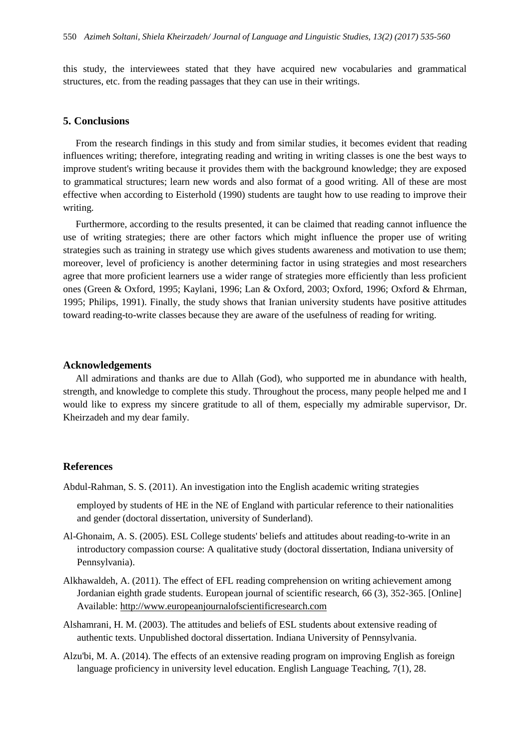this study, the interviewees stated that they have acquired new vocabularies and grammatical structures, etc. from the reading passages that they can use in their writings.

#### **5. Conclusions**

From the research findings in this study and from similar studies, it becomes evident that reading influences writing; therefore, integrating reading and writing in writing classes is one the best ways to improve student's writing because it provides them with the background knowledge; they are exposed to grammatical structures; learn new words and also format of a good writing. All of these are most effective when according to Eisterhold (1990) students are taught how to use reading to improve their writing.

Furthermore, according to the results presented, it can be claimed that reading cannot influence the use of writing strategies; there are other factors which might influence the proper use of writing strategies such as training in strategy use which gives students awareness and motivation to use them; moreover, level of proficiency is another determining factor in using strategies and most researchers agree that more proficient learners use a wider range of strategies more efficiently than less proficient ones (Green & Oxford, 1995; Kaylani, 1996; Lan & Oxford, 2003; Oxford, 1996; Oxford & Ehrman, 1995; Philips, 1991). Finally, the study shows that Iranian university students have positive attitudes toward reading-to-write classes because they are aware of the usefulness of reading for writing.

#### **Acknowledgements**

All admirations and thanks are due to Allah (God), who supported me in abundance with health, strength, and knowledge to complete this study. Throughout the process, many people helped me and I would like to express my sincere gratitude to all of them, especially my admirable supervisor, Dr. Kheirzadeh and my dear family.

#### **References**

Abdul-Rahman, S. S. (2011). An investigation into the English academic writing strategies

employed by students of HE in the NE of England with particular reference to their nationalities and gender (doctoral dissertation, university of Sunderland).

- Al-Ghonaim, A. S. (2005). ESL College students' beliefs and attitudes about reading-to-write in an introductory compassion course: A qualitative study (doctoral dissertation, Indiana university of Pennsylvania).
- Alkhawaldeh, A. (2011). The effect of EFL reading comprehension on writing achievement among Jordanian eighth grade students. European journal of scientific research, 66 (3), 352-365. [Online] Available: [http://www.europeanjournalofscientificresearch.com](http://www.europeanjournalofscientificresearch.com/)
- Alshamrani, H. M. (2003). The attitudes and beliefs of ESL students about extensive reading of authentic texts. Unpublished doctoral dissertation. Indiana University of Pennsylvania.
- Alzu'bi, M. A. (2014). The effects of an extensive reading program on improving English as foreign language proficiency in university level education. English Language Teaching, 7(1), 28.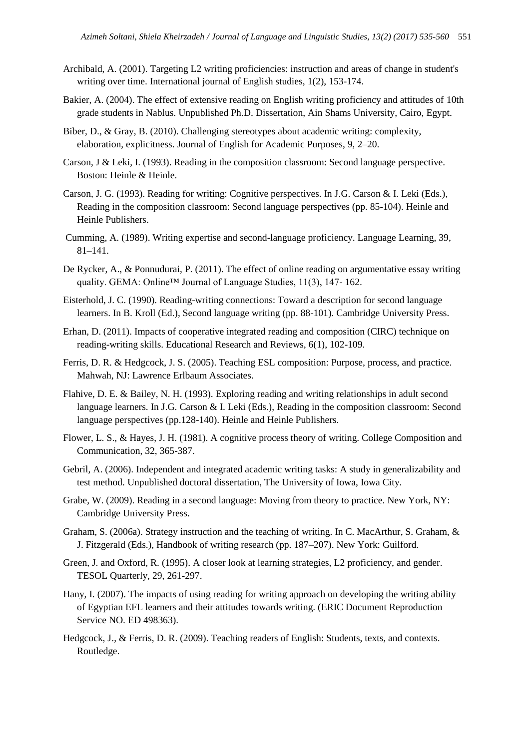- Archibald, A. (2001). Targeting L2 writing proficiencies: instruction and areas of change in student's writing over time. International journal of English studies, 1(2), 153-174.
- Bakier, A. (2004). The effect of extensive reading on English writing proficiency and attitudes of 10th grade students in Nablus. Unpublished Ph.D. Dissertation, Ain Shams University, Cairo, Egypt.
- Biber, D., & Gray, B. (2010). Challenging stereotypes about academic writing: complexity, elaboration, explicitness. Journal of English for Academic Purposes, 9, 2–20.
- Carson, J & Leki, I. (1993). Reading in the composition classroom: Second language perspective. Boston: Heinle & Heinle.
- Carson, J. G. (1993). Reading for writing: Cognitive perspectives. In J.G. Carson & I. Leki (Eds.), Reading in the composition classroom: Second language perspectives (pp. 85-104). Heinle and Heinle Publishers.
- Cumming, A. (1989). Writing expertise and second-language proficiency. Language Learning, 39, 81–141.
- De Rycker, A., & Ponnudurai, P. (2011). The effect of online reading on argumentative essay writing quality. GEMA: Online™ Journal of Language Studies, 11(3), 147-162.
- Eisterhold, J. C. (1990). Reading-writing connections: Toward a description for second language learners. In B. Kroll (Ed.), Second language writing (pp. 88-101). Cambridge University Press.
- Erhan, D. (2011). Impacts of cooperative integrated reading and composition (CIRC) technique on reading-writing skills. Educational Research and Reviews, 6(1), 102-109.
- Ferris, D. R. & Hedgcock, J. S. (2005). Teaching ESL composition: Purpose, process, and practice. Mahwah, NJ: Lawrence Erlbaum Associates.
- Flahive, D. E. & Bailey, N. H. (1993). Exploring reading and writing relationships in adult second language learners. In J.G. Carson & I. Leki (Eds.), Reading in the composition classroom: Second language perspectives (pp.128-140). Heinle and Heinle Publishers.
- Flower, L. S., & Hayes, J. H. (1981). A cognitive process theory of writing. College Composition and Communication, 32, 365-387.
- Gebril, A. (2006). Independent and integrated academic writing tasks: A study in generalizability and test method. Unpublished doctoral dissertation, The University of Iowa, Iowa City.
- Grabe, W. (2009). Reading in a second language: Moving from theory to practice. New York, NY: Cambridge University Press.
- Graham, S. (2006a). Strategy instruction and the teaching of writing. In C. MacArthur, S. Graham, & J. Fitzgerald (Eds.), Handbook of writing research (pp. 187–207). New York: Guilford.
- Green, J. and Oxford, R. (1995). A closer look at learning strategies, L2 proficiency, and gender. TESOL Quarterly, 29, 261-297.
- Hany, I. (2007). The impacts of using reading for writing approach on developing the writing ability of Egyptian EFL learners and their attitudes towards writing. (ERIC Document Reproduction Service NO. ED 498363).
- Hedgcock, J., & Ferris, D. R. (2009). Teaching readers of English: Students, texts, and contexts. Routledge.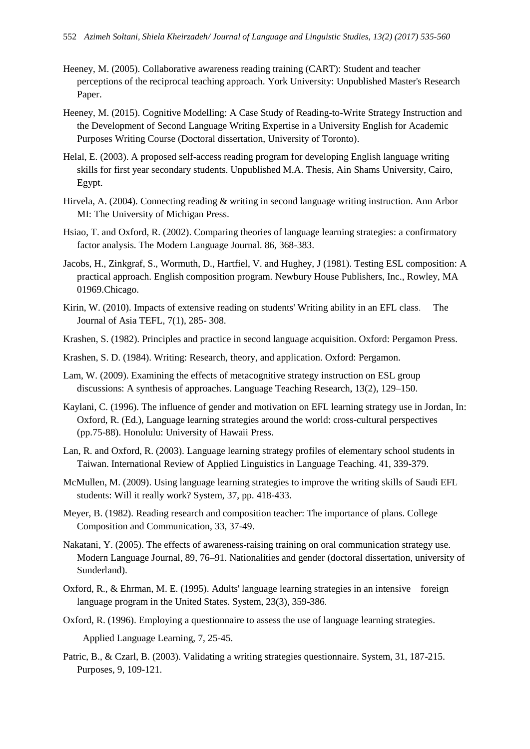- Heeney, M. (2005). Collaborative awareness reading training (CART): Student and teacher perceptions of the reciprocal teaching approach. York University: Unpublished Master's Research Paper.
- Heeney, M. (2015). Cognitive Modelling: A Case Study of Reading-to-Write Strategy Instruction and the Development of Second Language Writing Expertise in a University English for Academic Purposes Writing Course (Doctoral dissertation, University of Toronto).
- Helal, E. (2003). A proposed self-access reading program for developing English language writing skills for first year secondary students. Unpublished M.A. Thesis, Ain Shams University, Cairo, Egypt.
- Hirvela, A. (2004). Connecting reading & writing in second language writing instruction. Ann Arbor MI: The University of Michigan Press.
- Hsiao, T. and Oxford, R. (2002). Comparing theories of language learning strategies: a confirmatory factor analysis. The Modern Language Journal. 86, 368-383.
- Jacobs, H., Zinkgraf, S., Wormuth, D., Hartfiel, V. and Hughey, J (1981). Testing ESL composition: A practical approach. English composition program. Newbury House Publishers, Inc., Rowley, MA 01969.Chicago.
- Kirin, W. (2010). Impacts of extensive reading on students' Writing ability in an EFL class. The Journal of Asia TEFL, 7(1), 285- 308.
- Krashen, S. (1982). Principles and practice in second language acquisition. Oxford: Pergamon Press.
- Krashen, S. D. (1984). Writing: Research, theory, and application. Oxford: Pergamon.
- Lam, W. (2009). Examining the effects of metacognitive strategy instruction on ESL group discussions: A synthesis of approaches. Language Teaching Research, 13(2), 129–150.
- Kaylani, C. (1996). The influence of gender and motivation on EFL learning strategy use in Jordan, In: Oxford, R. (Ed.), Language learning strategies around the world: cross-cultural perspectives (pp.75-88). Honolulu: University of Hawaii Press.
- Lan, R. and Oxford, R. (2003). Language learning strategy profiles of elementary school students in Taiwan. International Review of Applied Linguistics in Language Teaching. 41, 339-379.
- McMullen, M. (2009). Using language learning strategies to improve the writing skills of Saudi EFL students: Will it really work? System, 37, pp. 418-433.
- Meyer, B. (1982). Reading research and composition teacher: The importance of plans. College Composition and Communication, 33, 37-49.
- Nakatani, Y. (2005). The effects of awareness-raising training on oral communication strategy use. Modern Language Journal, 89, 76–91. Nationalities and gender (doctoral dissertation, university of Sunderland).
- Oxford, R., & Ehrman, M. E. (1995). Adults' language learning strategies in an intensive foreign language program in the United States. System, 23(3), 359-386.
- Oxford, R. (1996). Employing a questionnaire to assess the use of language learning strategies.

Applied Language Learning, 7, 25-45.

Patric, B., & Czarl, B. (2003). Validating a writing strategies questionnaire. System, 31, 187-215. Purposes, 9, 109-121.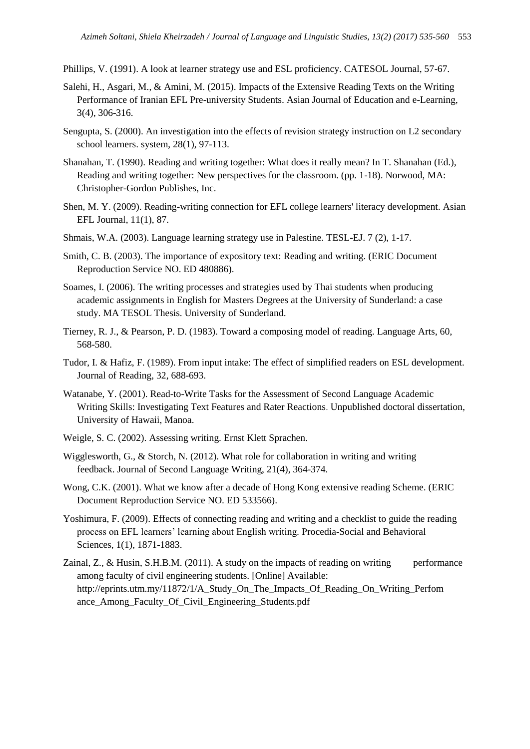Phillips, V. (1991). A look at learner strategy use and ESL proficiency. CATESOL Journal, 57-67.

- Salehi, H., Asgari, M., & Amini, M. (2015). Impacts of the Extensive Reading Texts on the Writing Performance of Iranian EFL Pre-university Students. Asian Journal of Education and e-Learning, 3(4), 306-316.
- Sengupta, S. (2000). An investigation into the effects of revision strategy instruction on L2 secondary school learners. system, 28(1), 97-113.
- Shanahan, T. (1990). Reading and writing together: What does it really mean? In T. Shanahan (Ed.), Reading and writing together: New perspectives for the classroom. (pp. 1-18). Norwood, MA: Christopher-Gordon Publishes, Inc.
- Shen, M. Y. (2009). Reading-writing connection for EFL college learners' literacy development. Asian EFL Journal, 11(1), 87.
- Shmais, W.A. (2003). Language learning strategy use in Palestine. TESL-EJ. 7 (2), 1-17.
- Smith, C. B. (2003). The importance of expository text: Reading and writing. (ERIC Document Reproduction Service NO. ED 480886).
- Soames, I. (2006). The writing processes and strategies used by Thai students when producing academic assignments in English for Masters Degrees at the University of Sunderland: a case study. MA TESOL Thesis. University of Sunderland.
- Tierney, R. J., & Pearson, P. D. (1983). Toward a composing model of reading. Language Arts, 60, 568-580.
- Tudor, I. & Hafiz, F. (1989). From input intake: The effect of simplified readers on ESL development. Journal of Reading, 32, 688-693.
- Watanabe, Y. (2001). Read-to-Write Tasks for the Assessment of Second Language Academic Writing Skills: Investigating Text Features and Rater Reactions. Unpublished doctoral dissertation, University of Hawaii, Manoa.
- Weigle, S. C. (2002). Assessing writing. Ernst Klett Sprachen.
- Wigglesworth, G., & Storch, N. (2012). What role for collaboration in writing and writing feedback. Journal of Second Language Writing, 21(4), 364-374.
- Wong, C.K. (2001). What we know after a decade of Hong Kong extensive reading Scheme. (ERIC Document Reproduction Service NO. ED 533566).
- Yoshimura, F. (2009). Effects of connecting reading and writing and a checklist to guide the reading process on EFL learners' learning about English writing. Procedia-Social and Behavioral Sciences, 1(1), 1871-1883.
- Zainal, Z., & Husin, S.H.B.M. (2011). A study on the impacts of reading on writing performance among faculty of civil engineering students. [Online] Available: [http://eprints.utm.my/11872/1/A\\_Study\\_On\\_The\\_Impacts\\_Of\\_Reading\\_On\\_Writing\\_Perfom](http://eprints.utm.my/11872/1/A_Study_On_The_Impacts_Of_Reading_On_Writing_Perfom%20ance_Among_Faculty_Of_Civil_Engineering_Students.pdf)  [ance\\_Among\\_Faculty\\_Of\\_Civil\\_Engineering\\_Students.pdf](http://eprints.utm.my/11872/1/A_Study_On_The_Impacts_Of_Reading_On_Writing_Perfom%20ance_Among_Faculty_Of_Civil_Engineering_Students.pdf)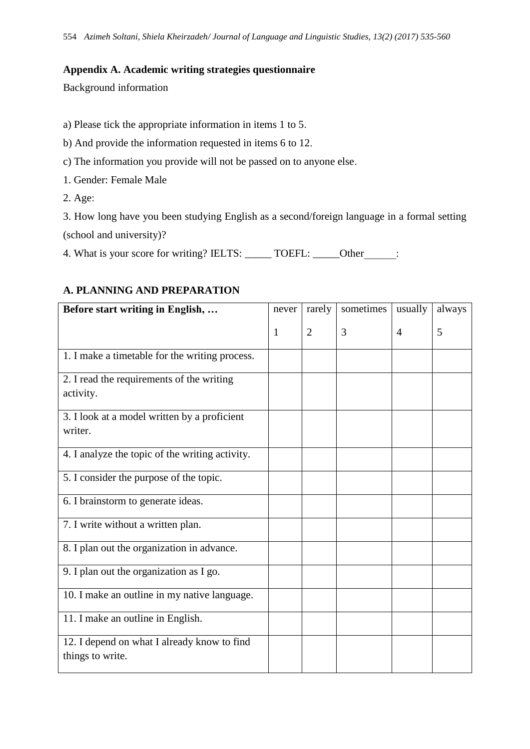## **Appendix A. Academic writing strategies questionnaire**

Background information

a) Please tick the appropriate information in items 1 to 5.

- b) And provide the information requested in items 6 to 12.
- c) The information you provide will not be passed on to anyone else.
- 1. Gender: Female Male
- 2. Age:

3. How long have you been studying English as a second/foreign language in a formal setting (school and university)?

4. What is your score for writing? IELTS: \_\_\_\_\_\_ TOEFL: \_\_\_\_\_Other \_\_\_\_:

| Before start writing in English,                                | never | rarely         | sometimes | usually        | always |
|-----------------------------------------------------------------|-------|----------------|-----------|----------------|--------|
|                                                                 | 1     | $\overline{2}$ | 3         | $\overline{4}$ | 5      |
| 1. I make a timetable for the writing process.                  |       |                |           |                |        |
| 2. I read the requirements of the writing<br>activity.          |       |                |           |                |        |
| 3. I look at a model written by a proficient<br>writer.         |       |                |           |                |        |
| 4. I analyze the topic of the writing activity.                 |       |                |           |                |        |
| 5. I consider the purpose of the topic.                         |       |                |           |                |        |
| 6. I brainstorm to generate ideas.                              |       |                |           |                |        |
| 7. I write without a written plan.                              |       |                |           |                |        |
| 8. I plan out the organization in advance.                      |       |                |           |                |        |
| 9. I plan out the organization as I go.                         |       |                |           |                |        |
| 10. I make an outline in my native language.                    |       |                |           |                |        |
| 11. I make an outline in English.                               |       |                |           |                |        |
| 12. I depend on what I already know to find<br>things to write. |       |                |           |                |        |

## **A. PLANNING AND PREPARATION**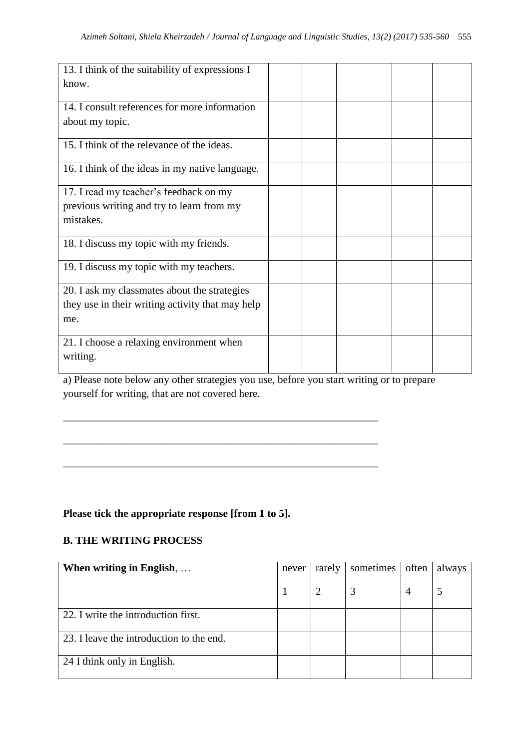| 13. I think of the suitability of expressions I<br>know.                                                |  |  |  |
|---------------------------------------------------------------------------------------------------------|--|--|--|
| 14. I consult references for more information<br>about my topic.                                        |  |  |  |
| 15. I think of the relevance of the ideas.                                                              |  |  |  |
| 16. I think of the ideas in my native language.                                                         |  |  |  |
| 17. I read my teacher's feedback on my<br>previous writing and try to learn from my<br>mistakes.        |  |  |  |
| 18. I discuss my topic with my friends.                                                                 |  |  |  |
| 19. I discuss my topic with my teachers.                                                                |  |  |  |
| 20. I ask my classmates about the strategies<br>they use in their writing activity that may help<br>me. |  |  |  |
| 21. I choose a relaxing environment when<br>writing.                                                    |  |  |  |

a) Please note below any other strategies you use, before you start writing or to prepare yourself for writing, that are not covered here.

\_\_\_\_\_\_\_\_\_\_\_\_\_\_\_\_\_\_\_\_\_\_\_\_\_\_\_\_\_\_\_\_\_\_\_\_\_\_\_\_\_\_\_\_\_\_\_\_\_\_\_\_\_\_\_\_\_\_\_

\_\_\_\_\_\_\_\_\_\_\_\_\_\_\_\_\_\_\_\_\_\_\_\_\_\_\_\_\_\_\_\_\_\_\_\_\_\_\_\_\_\_\_\_\_\_\_\_\_\_\_\_\_\_\_\_\_\_\_

\_\_\_\_\_\_\_\_\_\_\_\_\_\_\_\_\_\_\_\_\_\_\_\_\_\_\_\_\_\_\_\_\_\_\_\_\_\_\_\_\_\_\_\_\_\_\_\_\_\_\_\_\_\_\_\_\_\_\_

## **Please tick the appropriate response [from 1 to 5].**

## **B. THE WRITING PROCESS**

| When writing in English,                 | never | rarely | sometimes | often          | always |
|------------------------------------------|-------|--------|-----------|----------------|--------|
|                                          |       |        | 3         | $\overline{4}$ |        |
| 22. I write the introduction first.      |       |        |           |                |        |
| 23. I leave the introduction to the end. |       |        |           |                |        |
| 24 I think only in English.              |       |        |           |                |        |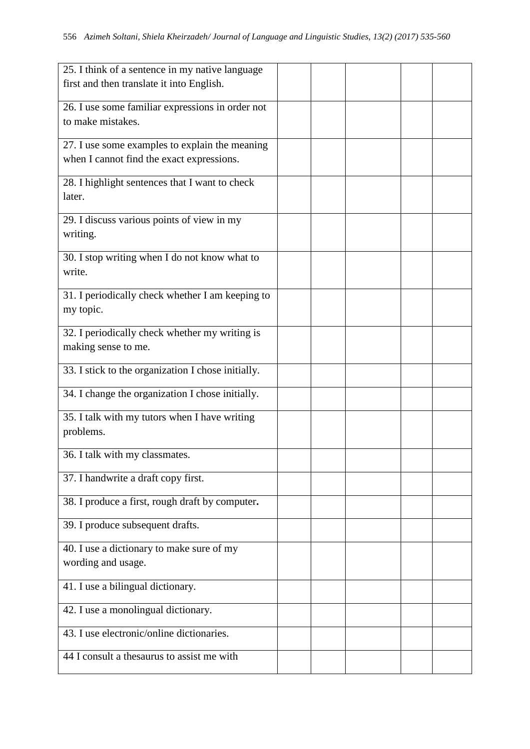| 25. I think of a sentence in my native language    |  |  |  |
|----------------------------------------------------|--|--|--|
| first and then translate it into English.          |  |  |  |
|                                                    |  |  |  |
| 26. I use some familiar expressions in order not   |  |  |  |
| to make mistakes.                                  |  |  |  |
| 27. I use some examples to explain the meaning     |  |  |  |
| when I cannot find the exact expressions.          |  |  |  |
| 28. I highlight sentences that I want to check     |  |  |  |
| later.                                             |  |  |  |
| 29. I discuss various points of view in my         |  |  |  |
| writing.                                           |  |  |  |
| 30. I stop writing when I do not know what to      |  |  |  |
| write.                                             |  |  |  |
| 31. I periodically check whether I am keeping to   |  |  |  |
| my topic.                                          |  |  |  |
| 32. I periodically check whether my writing is     |  |  |  |
| making sense to me.                                |  |  |  |
|                                                    |  |  |  |
| 33. I stick to the organization I chose initially. |  |  |  |
| 34. I change the organization I chose initially.   |  |  |  |
| 35. I talk with my tutors when I have writing      |  |  |  |
| problems.                                          |  |  |  |
| 36. I talk with my classmates.                     |  |  |  |
| 37. I handwrite a draft copy first.                |  |  |  |
|                                                    |  |  |  |
| 38. I produce a first, rough draft by computer.    |  |  |  |
| 39. I produce subsequent drafts.                   |  |  |  |
| 40. I use a dictionary to make sure of my          |  |  |  |
| wording and usage.                                 |  |  |  |
|                                                    |  |  |  |
| 41. I use a bilingual dictionary.                  |  |  |  |
| 42. I use a monolingual dictionary.                |  |  |  |
| 43. I use electronic/online dictionaries.          |  |  |  |
| 44 I consult a thesaurus to assist me with         |  |  |  |
|                                                    |  |  |  |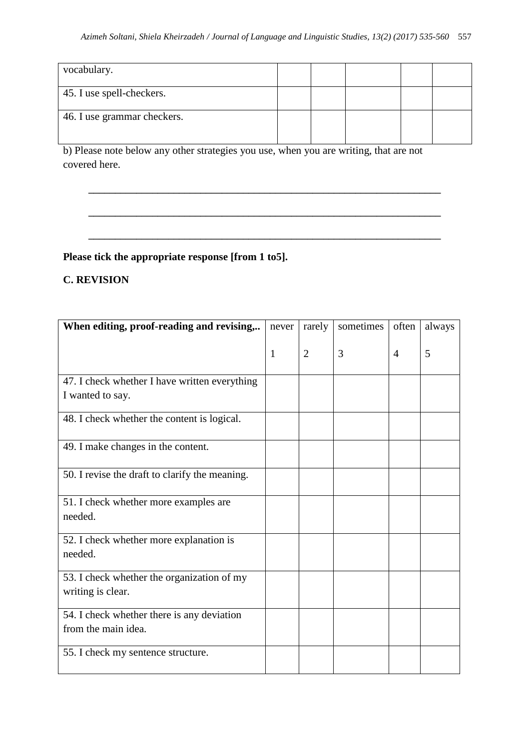| vocabulary.                 |  |  |  |
|-----------------------------|--|--|--|
| 45. I use spell-checkers.   |  |  |  |
| 46. I use grammar checkers. |  |  |  |

**\_\_\_\_\_\_\_\_\_\_\_\_\_\_\_\_\_\_\_\_\_\_\_\_\_\_\_\_\_\_\_\_\_\_\_\_\_\_\_\_\_\_\_\_\_\_\_\_\_\_\_\_\_\_\_\_\_\_\_\_\_\_\_\_\_\_**

**\_\_\_\_\_\_\_\_\_\_\_\_\_\_\_\_\_\_\_\_\_\_\_\_\_\_\_\_\_\_\_\_\_\_\_\_\_\_\_\_\_\_\_\_\_\_\_\_\_\_\_\_\_\_\_\_\_\_\_\_\_\_\_\_\_\_**

**\_\_\_\_\_\_\_\_\_\_\_\_\_\_\_\_\_\_\_\_\_\_\_\_\_\_\_\_\_\_\_\_\_\_\_\_\_\_\_\_\_\_\_\_\_\_\_\_\_\_\_\_\_\_\_\_\_\_\_\_\_\_\_\_\_\_**

b) Please note below any other strategies you use, when you are writing, that are not covered here.

## **Please tick the appropriate response [from 1 to5].**

## **C. REVISION**

| When editing, proof-reading and revising,                         | never        | rarely         | sometimes | often | always |
|-------------------------------------------------------------------|--------------|----------------|-----------|-------|--------|
|                                                                   | $\mathbf{1}$ | $\overline{2}$ | 3         | 4     | 5      |
| 47. I check whether I have written everything<br>I wanted to say. |              |                |           |       |        |
| 48. I check whether the content is logical.                       |              |                |           |       |        |
| 49. I make changes in the content.                                |              |                |           |       |        |
| 50. I revise the draft to clarify the meaning.                    |              |                |           |       |        |
| 51. I check whether more examples are<br>needed.                  |              |                |           |       |        |
| 52. I check whether more explanation is<br>needed.                |              |                |           |       |        |
| 53. I check whether the organization of my<br>writing is clear.   |              |                |           |       |        |
| 54. I check whether there is any deviation<br>from the main idea. |              |                |           |       |        |
| 55. I check my sentence structure.                                |              |                |           |       |        |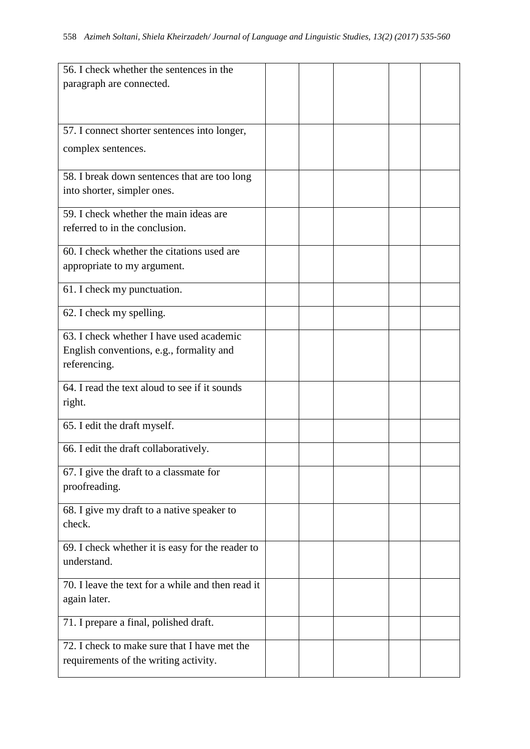| 56. I check whether the sentences in the          |  |  |  |
|---------------------------------------------------|--|--|--|
| paragraph are connected.                          |  |  |  |
|                                                   |  |  |  |
|                                                   |  |  |  |
| 57. I connect shorter sentences into longer,      |  |  |  |
| complex sentences.                                |  |  |  |
|                                                   |  |  |  |
| 58. I break down sentences that are too long      |  |  |  |
| into shorter, simpler ones.                       |  |  |  |
|                                                   |  |  |  |
| 59. I check whether the main ideas are            |  |  |  |
| referred to in the conclusion.                    |  |  |  |
| 60. I check whether the citations used are        |  |  |  |
| appropriate to my argument.                       |  |  |  |
|                                                   |  |  |  |
| 61. I check my punctuation.                       |  |  |  |
| 62. I check my spelling.                          |  |  |  |
|                                                   |  |  |  |
| 63. I check whether I have used academic          |  |  |  |
| English conventions, e.g., formality and          |  |  |  |
| referencing.                                      |  |  |  |
| 64. I read the text aloud to see if it sounds     |  |  |  |
| right.                                            |  |  |  |
|                                                   |  |  |  |
| 65. I edit the draft myself.                      |  |  |  |
| 66. I edit the draft collaboratively.             |  |  |  |
|                                                   |  |  |  |
| 67. I give the draft to a classmate for           |  |  |  |
| proofreading.                                     |  |  |  |
| 68. I give my draft to a native speaker to        |  |  |  |
| check.                                            |  |  |  |
|                                                   |  |  |  |
| 69. I check whether it is easy for the reader to  |  |  |  |
| understand.                                       |  |  |  |
|                                                   |  |  |  |
| 70. I leave the text for a while and then read it |  |  |  |
| again later.                                      |  |  |  |
| 71. I prepare a final, polished draft.            |  |  |  |
|                                                   |  |  |  |
| 72. I check to make sure that I have met the      |  |  |  |
| requirements of the writing activity.             |  |  |  |
|                                                   |  |  |  |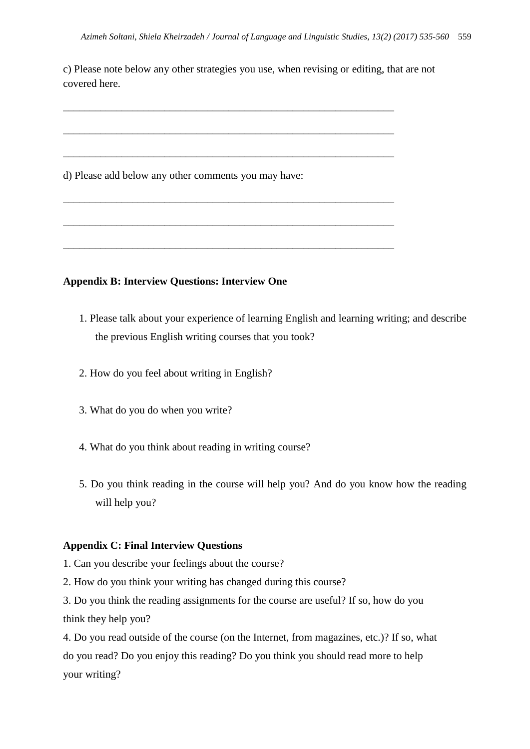c) Please note below any other strategies you use, when revising or editing, that are not covered here.

\_\_\_\_\_\_\_\_\_\_\_\_\_\_\_\_\_\_\_\_\_\_\_\_\_\_\_\_\_\_\_\_\_\_\_\_\_\_\_\_\_\_\_\_\_\_\_\_\_\_\_\_\_\_\_\_\_\_\_\_\_\_

\_\_\_\_\_\_\_\_\_\_\_\_\_\_\_\_\_\_\_\_\_\_\_\_\_\_\_\_\_\_\_\_\_\_\_\_\_\_\_\_\_\_\_\_\_\_\_\_\_\_\_\_\_\_\_\_\_\_\_\_\_\_

\_\_\_\_\_\_\_\_\_\_\_\_\_\_\_\_\_\_\_\_\_\_\_\_\_\_\_\_\_\_\_\_\_\_\_\_\_\_\_\_\_\_\_\_\_\_\_\_\_\_\_\_\_\_\_\_\_\_\_\_\_\_

\_\_\_\_\_\_\_\_\_\_\_\_\_\_\_\_\_\_\_\_\_\_\_\_\_\_\_\_\_\_\_\_\_\_\_\_\_\_\_\_\_\_\_\_\_\_\_\_\_\_\_\_\_\_\_\_\_\_\_\_\_\_

\_\_\_\_\_\_\_\_\_\_\_\_\_\_\_\_\_\_\_\_\_\_\_\_\_\_\_\_\_\_\_\_\_\_\_\_\_\_\_\_\_\_\_\_\_\_\_\_\_\_\_\_\_\_\_\_\_\_\_\_\_\_

\_\_\_\_\_\_\_\_\_\_\_\_\_\_\_\_\_\_\_\_\_\_\_\_\_\_\_\_\_\_\_\_\_\_\_\_\_\_\_\_\_\_\_\_\_\_\_\_\_\_\_\_\_\_\_\_\_\_\_\_\_\_

d) Please add below any other comments you may have:

### **Appendix B: Interview Questions: Interview One**

- 1. Please talk about your experience of learning English and learning writing; and describe the previous English writing courses that you took?
- 2. How do you feel about writing in English?
- 3. What do you do when you write?
- 4. What do you think about reading in writing course?
- 5. Do you think reading in the course will help you? And do you know how the reading will help you?

#### **Appendix C: Final Interview Questions**

- 1. Can you describe your feelings about the course?
- 2. How do you think your writing has changed during this course?

3. Do you think the reading assignments for the course are useful? If so, how do you think they help you?

4. Do you read outside of the course (on the Internet, from magazines, etc.)? If so, what do you read? Do you enjoy this reading? Do you think you should read more to help your writing?